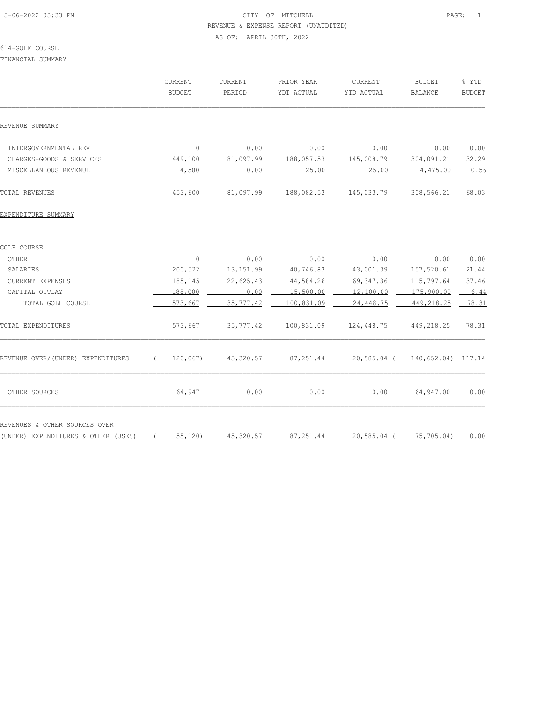# 5-06-2022 03:33 PM PAGE: 1 REVENUE & EXPENSE REPORT (UNAUDITED) AS OF: APRIL 30TH, 2022

#### 614-GOLF COURSE

FINANCIAL SUMMARY

|                                                                      |            | CURRENT<br><b>BUDGET</b> | CURRENT<br>PERIOD |      | PRIOR YEAR<br>YDT ACTUAL | CURRENT<br>YTD ACTUAL | <b>BUDGET</b><br><b>BALANCE</b> | % YTD<br><b>BUDGET</b> |
|----------------------------------------------------------------------|------------|--------------------------|-------------------|------|--------------------------|-----------------------|---------------------------------|------------------------|
| REVENUE SUMMARY                                                      |            |                          |                   |      |                          |                       |                                 |                        |
| INTERGOVERNMENTAL REV                                                |            | $\circ$                  |                   | 0.00 | 0.00                     | 0.00                  | 0.00                            | 0.00                   |
| CHARGES-GOODS & SERVICES                                             |            | 449,100                  | 81,097.99         |      | 188,057.53               | 145,008.79            | 304,091.21                      | 32.29                  |
| MISCELLANEOUS REVENUE                                                |            | 4,500                    |                   | 0.00 | 25.00                    | 25.00                 | 4,475.00                        | 0.56                   |
| TOTAL REVENUES                                                       |            | 453,600                  | 81,097.99         |      | 188,082.53               | 145,033.79            | 308,566.21                      | 68.03                  |
| EXPENDITURE SUMMARY                                                  |            |                          |                   |      |                          |                       |                                 |                        |
| GOLF COURSE                                                          |            |                          |                   |      |                          |                       |                                 |                        |
| OTHER                                                                |            | $\mathbb O$              |                   | 0.00 | 0.00                     | 0.00                  | 0.00                            | 0.00                   |
| SALARIES                                                             |            | 200,522                  | 13, 151.99        |      | 40,746.83                | 43,001.39             | 157,520.61                      | 21.44                  |
| CURRENT EXPENSES                                                     |            | 185,145                  | 22,625.43         |      | 44,584.26                | 69, 347.36            | 115,797.64                      | 37.46                  |
| CAPITAL OUTLAY                                                       |            | 188,000                  |                   | 0.00 | 15,500.00                | 12,100.00             | 175,900.00                      | 6.44                   |
| TOTAL GOLF COURSE                                                    |            | 573,667                  | 35, 777.42        |      | 100,831.09               | 124,448.75            | 449, 218. 25                    | 78.31                  |
| TOTAL EXPENDITURES                                                   |            | 573,667                  | 35, 777.42        |      | 100,831.09               | 124,448.75            | 449,218.25                      | 78.31                  |
| REVENUE OVER/(UNDER) EXPENDITURES                                    | $\sqrt{2}$ | 120,067                  | 45,320.57         |      | 87, 251.44               | 20,585.04 (           | 140,652.04) 117.14              |                        |
| OTHER SOURCES                                                        |            | 64,947                   |                   | 0.00 | 0.00                     | 0.00                  | 64,947.00                       | 0.00                   |
| REVENUES & OTHER SOURCES OVER<br>(UNDER) EXPENDITURES & OTHER (USES) | $\sqrt{2}$ | 55, 120                  | 45,320.57         |      | 87, 251.44               | 20,585.04 (           | 75,705.04)                      | 0.00                   |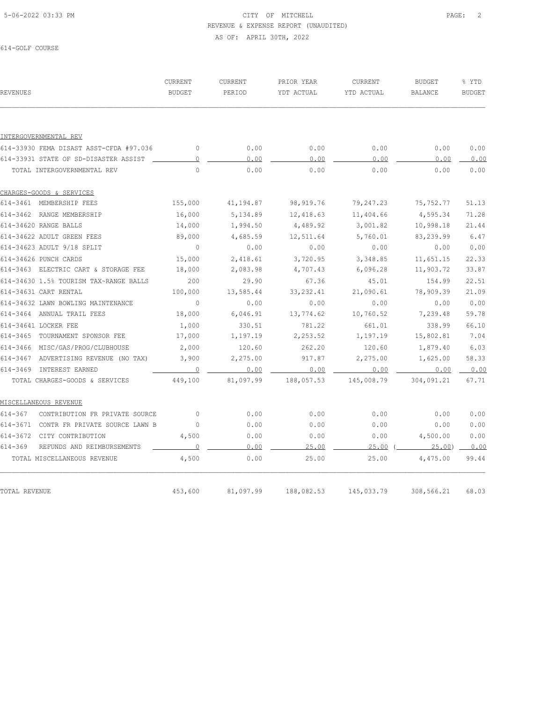# 5-06-2022 03:33 PM PAGE: 2 REVENUE & EXPENSE REPORT (UNAUDITED) AS OF: APRIL 30TH, 2022

614-GOLF COURSE

| <b>REVENUES</b>                               | CURRENT<br><b>BUDGET</b> | <b>CURRENT</b><br>PERIOD | PRIOR YEAR<br>YDT ACTUAL | CURRENT<br>YTD ACTUAL | <b>BUDGET</b><br><b>BALANCE</b> | % YTD<br><b>BUDGET</b> |
|-----------------------------------------------|--------------------------|--------------------------|--------------------------|-----------------------|---------------------------------|------------------------|
|                                               |                          |                          |                          |                       |                                 |                        |
| INTERGOVERNMENTAL REV                         |                          |                          |                          |                       |                                 |                        |
| 614-33930 FEMA DISAST ASST-CFDA #97.036       | $\circ$                  | 0.00                     | 0.00                     | 0.00                  | 0.00                            | 0.00                   |
| 614-33931 STATE OF SD-DISASTER ASSIST         | $\circ$                  | 0.00                     | 0.00                     | 0.00                  | 0.00                            | 0.00                   |
| TOTAL INTERGOVERNMENTAL REV                   | $\Omega$                 | 0.00                     | 0.00                     | 0.00                  | 0.00                            | 0.00                   |
| CHARGES-GOODS & SERVICES                      |                          |                          |                          |                       |                                 |                        |
| 614-3461 MEMBERSHIP FEES                      | 155,000                  | 41,194.87                | 98,919.76                | 79,247.23             | 75,752.77                       | 51.13                  |
| 614-3462 RANGE MEMBERSHIP                     | 16,000                   | 5,134.89                 | 12,418.63                | 11,404.66             | 4,595.34                        | 71.28                  |
| 614-34620 RANGE BALLS                         | 14,000                   | 1,994.50                 | 4,489.92                 | 3,001.82              | 10,998.18                       | 21.44                  |
| 614-34622 ADULT GREEN FEES                    | 89,000                   | 4,685.59                 | 12,511.64                | 5,760.01              | 83,239.99                       | 6.47                   |
| 614-34623 ADULT 9/18 SPLIT                    | $\circ$                  | 0.00                     | 0.00                     | 0.00                  | 0.00                            | 0.00                   |
| 614-34626 PUNCH CARDS                         | 15,000                   | 2,418.61                 | 3,720.95                 | 3,348.85              | 11,651.15                       | 22.33                  |
| 614-3463 ELECTRIC CART & STORAGE FEE          | 18,000                   | 2,083.98                 | 4,707.43                 | 6,096.28              | 11,903.72                       | 33.87                  |
| 614-34630 1.5% TOURISM TAX~RANGE BALLS        | 200                      | 29.90                    | 67.36                    | 45.01                 | 154.99                          | 22.51                  |
| 614-34631 CART RENTAL                         | 100,000                  | 13,585.44                | 33, 232.41               | 21,090.61             | 78,909.39                       | 21.09                  |
| 614-34632 LAWN BOWLING MAINTENANCE            | $\sim$ 0                 | 0.00                     | 0.00                     | 0.00                  | 0.00                            | 0.00                   |
| 614-3464 ANNUAL TRAIL FEES                    | 18,000                   | 6,046.91                 | 13,774.62                | 10,760.52             | 7,239.48                        | 59.78                  |
| 614-34641 LOCKER FEE                          | 1,000                    | 330.51                   | 781.22                   | 661.01                | 338.99                          | 66.10                  |
| 614-3465 TOURNAMENT SPONSOR FEE               | 17,000                   | 1,197.19                 | 2,253.52                 | 1,197.19              | 15,802.81                       | 7.04                   |
| 614-3466 MISC/GAS/PROG/CLUBHOUSE              | 2,000                    | 120.60                   | 262.20                   | 120.60                | 1,879.40                        | 6.03                   |
| 614-3467 ADVERTISING REVENUE (NO TAX)         | 3,900                    | 2,275.00                 | 917.87                   | 2,275.00              | 1,625.00                        | 58.33                  |
| 614-3469 INTEREST EARNED                      | $\overline{0}$           | 0.00                     | 0.00                     | 0.00                  | 0.00                            | 0.00                   |
| TOTAL CHARGES-GOODS & SERVICES                | 449,100                  | 81,097.99                | 188,057.53               | 145,008.79            | 304,091.21                      | 67.71                  |
| MISCELLANEOUS REVENUE                         |                          |                          |                          |                       |                                 |                        |
| $614 - 367$<br>CONTRIBUTION FR PRIVATE SOURCE | $\circ$                  | 0.00                     | 0.00                     | 0.00                  | 0.00                            | 0.00                   |
| 614-3671 CONTR FR PRIVATE SOURCE LAWN B       | $\overline{0}$           | 0.00                     | 0.00                     | 0.00                  | 0.00                            | 0.00                   |
| 614-3672 CITY CONTRIBUTION                    | 4,500                    | 0.00                     | 0.00                     | 0.00                  | 4,500.00                        | 0.00                   |
| $614 - 369$<br>REFUNDS AND REIMBURSEMENTS     | $\overline{0}$           | 0.00                     | 25.00                    | 25.00                 | 25.00                           | 0.00                   |
| TOTAL MISCELLANEOUS REVENUE                   | 4,500                    | 0.00                     | 25.00                    | 25.00                 | 4,475.00                        | 99.44                  |
| TOTAL REVENUE                                 | 453,600                  | 81,097.99                | 188,082.53               | 145,033.79            | 308,566.21                      | 68.03                  |
|                                               |                          |                          |                          |                       |                                 |                        |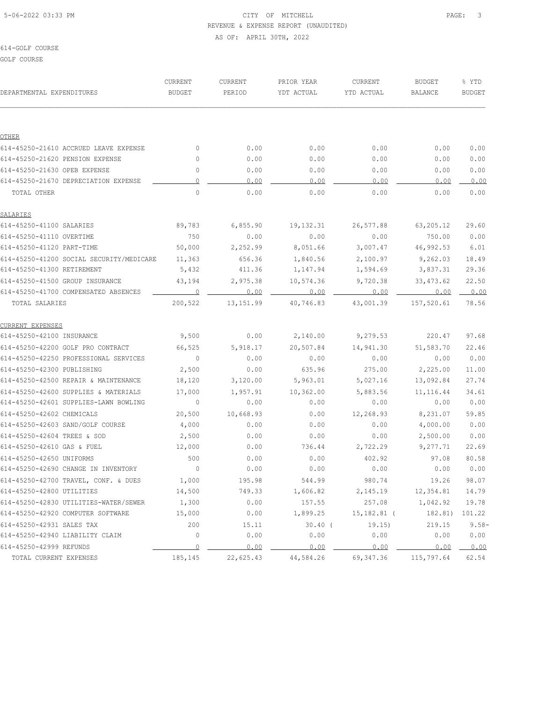# 5-06-2022 03:33 PM PAGE: 3 REVENUE & EXPENSE REPORT (UNAUDITED) AS OF: APRIL 30TH, 2022

#### 614-GOLF COURSE

GOLF COURSE

| DEPARTMENTAL EXPENDITURES                | CURRENT<br>BUDGET        | CURRENT<br>PERIOD | PRIOR YEAR<br>YDT ACTUAL | CURRENT<br>YTD ACTUAL | <b>BUDGET</b><br>BALANCE | % YTD<br><b>BUDGET</b> |
|------------------------------------------|--------------------------|-------------------|--------------------------|-----------------------|--------------------------|------------------------|
|                                          |                          |                   |                          |                       |                          |                        |
| OTHER                                    |                          |                   |                          |                       |                          |                        |
| 614-45250-21610 ACCRUED LEAVE EXPENSE    | 0                        | 0.00              | 0.00                     | 0.00                  | 0.00                     | 0.00                   |
| 614-45250-21620 PENSION EXPENSE          | 0                        | 0.00              | 0.00                     | 0.00                  | 0.00                     | 0.00                   |
| 614-45250-21630 OPEB EXPENSE             | $\circ$                  | 0.00              | 0.00                     | 0.00                  | 0.00                     | 0.00                   |
| 614-45250-21670 DEPRECIATION EXPENSE     | $\circ$                  | 0.00              | 0.00                     | 0.00                  | 0.00                     | 0.00                   |
| TOTAL OTHER                              | $\mathbf 0$              | 0.00              | 0.00                     | 0.00                  | 0.00                     | 0.00                   |
| SALARIES                                 |                          |                   |                          |                       |                          |                        |
| 614-45250-41100 SALARIES                 | 89,783                   | 6,855.90          | 19, 132.31               | 26,577.88             | 63,205.12                | 29.60                  |
| 614-45250-41110 OVERTIME                 | 750                      | 0.00              | 0.00                     | 0.00                  | 750.00                   | 0.00                   |
| 614-45250-41120 PART-TIME                | 50,000                   | 2,252.99          | 8,051.66                 | 3,007.47              | 46,992.53                | 6.01                   |
| 614-45250-41200 SOCIAL SECURITY/MEDICARE | 11,363                   | 656.36            | 1,840.56                 | 2,100.97              | 9,262.03                 | 18.49                  |
| 614-45250-41300 RETIREMENT               | 5,432                    | 411.36            | 1,147.94                 | 1,594.69              | 3,837.31                 | 29.36                  |
| 614-45250-41500 GROUP INSURANCE          | 43,194                   | 2,975.38          | 10,574.36                | 9,720.38              | 33, 473.62               | 22.50                  |
| 614-45250-41700 COMPENSATED ABSENCES     | 0                        | 0.00              | 0.00                     | 0.00                  | 0.00                     | 0.00                   |
| TOTAL SALARIES                           | 200,522                  | 13, 151.99        | 40,746.83                | 43,001.39             | 157,520.61               | 78.56                  |
| CURRENT EXPENSES                         |                          |                   |                          |                       |                          |                        |
| 614-45250-42100 INSURANCE                | 9,500                    | 0.00              | 2,140.00                 | 9,279.53              | 220.47                   | 97.68                  |
| 614-45250-42200 GOLF PRO CONTRACT        | 66,525                   | 5,918.17          | 20,507.84                | 14,941.30             | 51,583.70                | 22.46                  |
| 614-45250-42250 PROFESSIONAL SERVICES    | $\circ$                  | 0.00              | 0.00                     | 0.00                  | 0.00                     | 0.00                   |
| 614-45250-42300 PUBLISHING               | 2,500                    | 0.00              | 635.96                   | 275.00                | 2,225.00                 | 11.00                  |
| 614-45250-42500 REPAIR & MAINTENANCE     | 18,120                   | 3,120.00          | 5,963.01                 | 5,027.16              | 13,092.84                | 27.74                  |
| 614-45250-42600 SUPPLIES & MATERIALS     | 17,000                   | 1,957.91          | 10,362.00                | 5,883.56              | 11, 116.44               | 34.61                  |
| 614-45250-42601 SUPPLIES-LAWN BOWLING    | $\overline{0}$           | 0.00              | 0.00                     | 0.00                  | 0.00                     | 0.00                   |
| 614-45250-42602 CHEMICALS                | 20,500                   | 10,668.93         | 0.00                     | 12,268.93             | 8,231.07                 | 59.85                  |
| 614-45250-42603 SAND/GOLF COURSE         | 4,000                    | 0.00              | 0.00                     | 0.00                  | 4,000.00                 | 0.00                   |
| 614-45250-42604 TREES & SOD              | 2,500                    | 0.00              | 0.00                     | 0.00                  | 2,500.00                 | 0.00                   |
| 614-45250-42610 GAS & FUEL               | 12,000                   | 0.00              | 736.44                   | 2,722.29              | 9,277.71                 | 22.69                  |
| 614-45250-42650 UNIFORMS                 | 500                      | 0.00              | 0.00                     | 402.92                | 97.08                    | 80.58                  |
| 614-45250-42690 CHANGE IN INVENTORY      | $\overline{\phantom{0}}$ | 0.00              | 0.00                     | 0.00                  | 0.00                     | 0.00                   |
| 614-45250-42700 TRAVEL, CONF. & DUES     | 1,000                    | 195.98            | 544.99                   | 980.74                | 19.26                    | 98.07                  |
| 614-45250-42800 UTILITIES                | 14,500                   | 749.33            | 1,606.82                 | 2,145.19              | 12,354.81                | 14.79                  |
| 614-45250-42830 UTILITIES-WATER/SEWER    | 1,300                    | 0.00              | 157.55                   | 257.08                | 1,042.92                 | 19.78                  |
| 614-45250-42920 COMPUTER SOFTWARE        | 15,000                   | 0.00              | 1,899.25                 | $15,182.81$ (         | 182.81)                  | 101.22                 |
| 614-45250-42931 SALES TAX                | 200                      | 15.11             | $30.40$ (                | 19.15)                | 219.15                   | $9.58 -$               |
| 614-45250-42940 LIABILITY CLAIM          | 0                        | 0.00              | 0.00                     | 0.00                  | 0.00                     | 0.00                   |
| 614-45250-42999 REFUNDS                  | $\overline{0}$           | 0.00              | 0.00                     | 0.00                  | 0.00                     | 0.00                   |
| TOTAL CURRENT EXPENSES                   | 185,145                  | 22,625.43         | 44,584.26                | 69, 347.36            | 115,797.64               | 62.54                  |